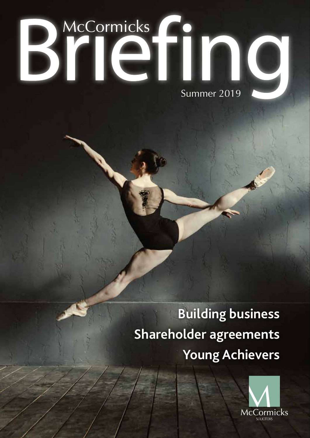# Brief Summer 2019

### **Building business Shareholder agreements Young Achievers**

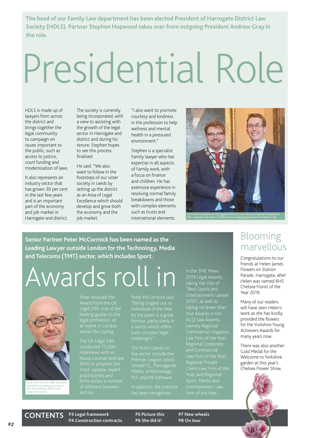**The head of our Family Law department has been elected President of Harrogate District Law Society (HDLS). Partner Stephen Hopwood takes over from outgoing President Andrew Gray in the role.**

# Presidential Role

HDLS is made up of lawyers from across the district and brings together the legal community to campaign on issues important to the public, such as access to justice, court funding and modernisation of laws.

It also represents an industry sector that has grown 30 per cent in the last few years and is an important part of the economy and job market in Harrogate and district.

The society is currently being incorporated, with a view to assisting with the growth of the legal sector in Harrogate and district and during his tenure, Stephen hopes to see this process finalised.

He said: "We also want to follow in the footsteps of our sister society in Leeds by setting up the district as an Area of Legal Excellence which should develop and grow both the economy and the job market.

"I also want to promote courtesy and kindness in the profession to help wellness and mental health in a pressured environment."

Stephen is a specialist Family lawyer who has expertise in all aspects of Family work, with a focus on finance and children. He has extensive experience in resolving normal family breakdowns and those with complex elements such as trusts and international elements.



left, receives the chain of office from outgoing president Andrew Gray

**Senior Partner Peter McCormick has been named as the Leading Lawyer outside London for the Technology, Media and Telecoms (TMT) sector, which includes Sport.**

### Awards roll in



Peter McCormick OBE has been named as a Leading Lawyer in the Technology, Media and Telecoms sector

Peter received the leading guides to the legal profession, at

The UK Legal 500 conducted 70,000 most capable, expert practitioners and firms across a number sectors.

"Being singled out as challenges."

Premier League, Leeds United FC, Plantagenet Media, InTechnology

In addition, the practice

in the SME News 2019 Legal Awards, taking the title of Entertainment Lawyer ACQ Law Awards, namely Regional Commercial Litigation Regional Corporate Entertainment Law

### Blooming marvellous

Congratulations to our friends at Helen James Flowers on Station Parade, Harrogate, after Helen was named RHS Chelsea Florist of the Year 2019.

Many of our readers will have seen Helen's work as she has kindly provided the flowers for the Yorkshire Young Achievers Awards for many years now.

There was also another Gold Medal for the Welcome to Yorkshire garden at this year's Chelsea Flower Show.



**CONTENTS**

**P3 Legal framework P4 Construction contracts**

**P5 Picture this P6 She did it!**

**P7 New wheels P8 On tour**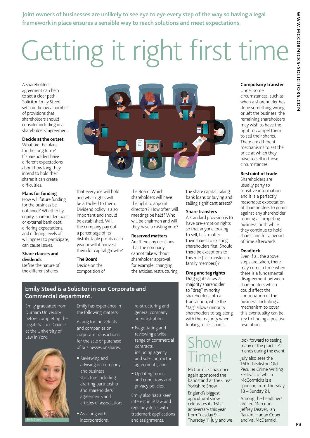**Joint owners of businesses are unlikely to see eye to eye every step of the way so having a legal framework in place ensures a sensible way to reach solutions and meet expectations.**

# Getting it right first time

A shareholders' agreement can help to set a clear path. Solicitor Emily Steed sets out below a number of provisions that shareholders should consider including in a shareholders' agreement.

### **Decide at the outset**

What are the plans for the long term? If shareholders have different expectations about how long they intend to hold their shares it can create difficulties.

#### **Plans for funding**

How will future funding for the business be obtained? Whether by equity, shareholder loans or external bank debt, differing expectations, and differing levels of willingness to participate, can cause issues.

### **Share clauses and dividends**

Define the nature of the different shares



that everyone will hold and what rights will be attached to them. Dividend policy is also important and should be established. Will the company pay out a percentage of its distributable profits each year or will it reinvest them for capital growth?

#### **The Board**

Decide on the composition of the Board. Which shareholders will have the right to appoint directors? How often will meetings be held? Who will be chairman and will they have a casting vote?

### **Reserved matters**

Are there any decisions that the company cannot take without shareholder approval, for example, changing the articles, restructuring the share capital, taking bank loans or buying and selling significant assets?

### **Share transfers**

A standard provision is to have pre-emption rights so that anyone looking to sell, has to offer their shares to existing shareholders first. Should there be exceptions to this rule (i.e. transfers to family members)?

### **Drag and tag rights**

Drag rights allow a majority shareholder to "drag" minority shareholders into a transaction, while the "tag" allows minority shareholders to tag along with the majority when looking to sell shares.

### Show Time!

McCormicks has once again sponsored the bandstand at the Great Yorkshire Show.

England's biggest agricultural show celebrates its 161st anniversary this year from Tuesday 9 – Thursday 11 July and we

### **Compulsory transfer**

Under some circumstances, such as when a shareholder has done something wrong or left the business, the remaining shareholders may wish to have the right to compel them to sell their shares. There are different mechanisms to set the price at which they have to sell in those circumstances.

### **Restraint of trade**

Shareholders are usually party to sensitive information and it is a perfectly reasonable expectation of shareholders to guard against any shareholder running a competing business, both while they continue to hold shares and for a period of time afterwards.

#### **Deadlock**

Even if all the above steps are taken, there may come a time when there is a fundamental disagreement between shareholders which could affect the continuation of the business. Including a mechanism to cover this eventuality can be key to finding a positive resolution.

look forward to seeing many of the practice's friends during the event.

July also sees the 16th Theakston Old Peculier Crime Writing Festival, of which McCormicks is a sponsor, from Thursday 18 – Sunday 21.

Among the headliners are Jed Mercurio, Jeffrey Deaver, Ian Rankin, Harlan Coben and Val McDermid.

### **Emily Steed is a Solicitor in our Corporate and Commercial department.**

Emily graduated from Durham University before completing the Legal Practice Course at the University of Law in York.



Emily has experience in the following matters:

Acting for individuals and companies on corporate transactions for the sale or purchase of businesses or shares;

- Reviewing and advising on company and business structure including drafting partnership and shareholders' agreements and articles of association;
- Assisting with incorporations,

re-structuring and general company administration;

- Negotiating and reviewing a wide range of commercial contracts, including agency and sub-contractor agreements; and
- Updating terms and conditions and privacy policies.

**P 3**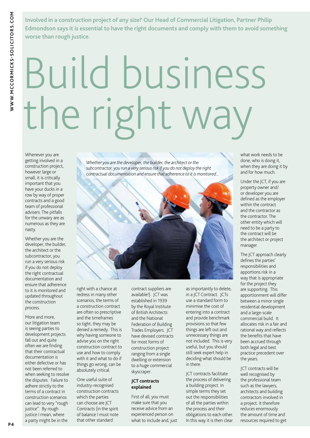**Involved in a construction project of any size? Our Head of Commercial Litigation, Partner Philip Edmondson says it is essential to have the right documents and comply with them to avoid something worse than rough justice.** 

# Build business the right way

Whenever you are getting involved in a construction project, however large or small, it is critically important that you have your ducks in a row by way of proper contracts and a good team of professional advisers. The pitfalls for the unwary are as numerous as they are nasty.

Whether you are the developer, the builder, the architect or the subcontractor, you run a very serious risk if you do not deploy the right contractual documentation and ensure that adherence to it is monitored and updated throughout the construction process.

More and more, our litigation team is seeing parties to development projects fall out and quite often we are finding that their contractual documentation is either defective or has not been referred to when seeking to resolve the disputes. Failure to adhere strictly to the terms of a contract in construction scenarios can lead to very "rough justice". By rough justice I mean, where a party might be in the

*Whether you are the developer, the builder, the architect or the subcontractor, you run a very serious risk if you do not deploy the right contractual documentation and ensure that adherence to it is monitored...*



right with a chance at redress in many other scenarios, the terms of a construction contract are often so prescriptive and the timeframes so tight, they may be denied a remedy. This is why having someone to advise you on the right construction contract to use and how to comply with it and what to do if things go wrong, can be absolutely critical.

One useful suite of industry-recognised construction contracts which the parties can choose are JCT Contracts (in the spirit of balance I must note that other standard

contract suppliers are available!). JCT was established in 1939 by the Royal Institute of British Architects and the National Federation of Building Trades Employers. JCT have devised contracts for most forms of construction project ranging from a single dwelling or extension to a huge commercial skyscraper.

### **JCT contracts explained**

First of all, you must make sure that you receive advice from an experienced person on what to include and, just as importantly to delete, in a JCT Contract. JCTs use a standard form to minimise the cost of entering into a contract and provide benchmark provisions so that few things are left out and unnecessary things are not included. This is very useful, but you should still seek expert help in deciding what should be in there.

JCT contracts facilitate the process of delivering a building project. In simple terms they set out the responsibilities of all the parties within the process and their obligations to each other. In this way it is then clear

what work needs to be done, who is doing it, when they are doing it by and for how much.

Under the JCT, if you are property owner and/ or developer you are defined as the employer within the contract and the contractor as the contractor. The other entity which will need to be a party to the contract will be the architect or project manager.

The JCT approach clearly defines the parties' responsibilities and apportions risk in a way that is appropriate for the project they are supporting. This apportionment will differ between a minor single residential development and a large-scale commercial build. It allocates risk in a fair and rational way and reflects the benefits that have been accrued through both legal and best practice precedent over the years.

JCT contracts will be well recognised by the professional team such as the lawyers, architects and building contractors involved in a project. It therefore reduces enormously the amount of time and resources required to get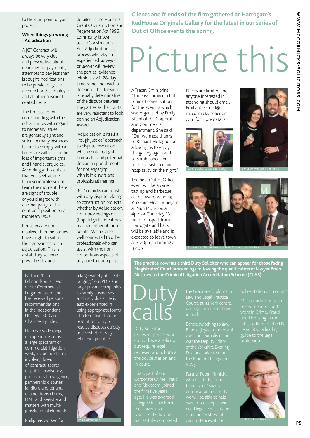to the start point of your project.

### **When things go wrong - Adjudication**

A JCT Contract will always be very clear and prescriptive about deadlines for payments, attempts to pay less than is sought, notifications to be provided by the architect or the employer and all other paymentrelated items.

The timescales for corresponding with the other parties with regard to monetary issues are generally tight and strict. In many instances failure to comply with a timescale will lead to the loss of important rights and financial prejudice. Accordingly, it is critical that you seek advice from your professional team the moment there are signs of trouble or you disagree with another party to the contract's position on a monetary issue.

If matters are not resolved then the parties have a right to submit their grievances to an adjudication. This is a statutory scheme prescribed by and

detailed in the Housing Grants, Construction and Regeneration Act 1996, commonly known as the Construction Act. Adjudication is a process whereby an experienced surveyor or lawyer will review the parties' evidence within a swift 28-day timeframe and reach a decision. The decision is usually determinative of the dispute between the parties as the courts are very reluctant to look behind an Adjudication Award.

Adjudication is itself a "rough justice" approach to dispute resolution which contains tight timescales and potential draconian punishments for not engaging with it in a swift and professional manner.

McCormicks can assist with any dispute relating to construction projects whether by Adjudication, court proceedings or (hopefully) before it has reached either of those points. We are also well connected to other professionals who can assist with the noncontentious aspects of any construction project.

**Clients and friends of the firm gathered at Harrogate's RedHouse Originals Gallery for the latest in our series of Out of Office events this spring.**

# Picture this

A Tracey Emin print, "The Kiss" proved a hot topic of conversation for the evening which was organised by Emily Steed of the Corporate and Commercial department. She said: "Our warmest thanks to Richard McTague for allowing us to enjoy the gallery again and to Sarah Lancaster for her assistance and hospitality on the night."

The next Out of Office event will be a wine tasting and barbecue at the award-winning Yorkshire Heart Vineyard at Nun Monkton at 4pm on Thursday 13 June. Transport from Harrogate and back will be available and is expected to leave town at 3.20pm, returning at 8.40pm.

Places are limited and anyone interested in attending should email Emily at e.steed@ mccormicks-solicitors. com for more details.







**The practice now has a third Duty Solicitor who can appear for those facing Magistrates' Court proceedings following the qualification of lawyer Brian Nuttney to the Criminal Litigation Accreditation Scheme (CLAS).**

#### Partner Philip Edmondson is Head of our Commercial Litigation team and has received personal recommendations in the independent UK Legal 500 and

Chambers guides.

He has a wide range of experience across a large spectrum of commercial litigation work, including claims involving breach of contract, sports disputes, insolvency, professional negligence, partnership disputes, landlord and tenant, dilapidations claims, HM Land Registry and matters with multijurisdictional elements.

a large variety of clients ranging from PLCs and large private companies to family businesses and individuals. He is also experienced in using appropriate forms of alternative dispute resolution to try to resolve disputes quickly and cost effectively, wherever possible.



### Duty calls

Duty Solicitors represent people who do not have a solicitor but require legal representation, both at in court.

ago. He was awarded

gaining commendations

Brian enjoyed a successful was the Deputy Editor the Bradford Telegraph

McCormicks has been latest edition of the UK Legal 500, a leading guide to the legal profession.

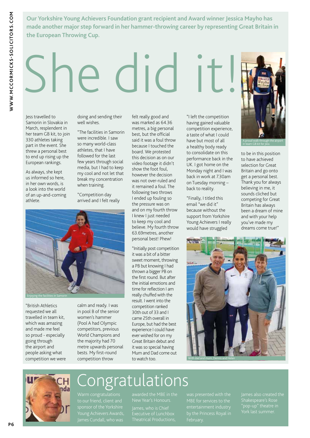**Our Yorkshire Young Achievers Foundation grant recipient and Award winner Jessica Mayho has made another major step forward in her hammer-throwing career by representing Great Britain in the European Throwing Cup.**

# She did it!

Jess travelled to Samorin in Slovakia in March, resplendent in her team GB kit, to join 330 athletes taking part in the event. She threw a personal best to end up rising up the European rankings.

As always, she kept us informed so here, in her own words, is a look into the world of an up-and-coming athlete.

doing and sending their well wishes.

"The facilities in Samorin were incredible. I saw so many world-class athletes, that I have followed for the last few years through social media, but I had to keep my cool and not let that break my concentration when training.

"Competition day arrived and I felt really

Enjoying the facilities in Samorin

"British Athletics requested we all travelled in team kit, which was amazing and made me feel so proud - especially going through the airport and people asking what competition we were calm and ready. I was in pool B of the senior women's hammer (Pool A had Olympic competitors, previous World Champions and the majority had 70 metre upwards personal bests. My first-round competition throw

was marked as 64.36 metres, a big personal best, but the official said it was a foul throw because I touched the board. We protested this decision as on our video footage it didn't show the foot foul, however the decision was not over-ruled and it remained a foul. The following two throws I ended up fouling so the pressure was on and on my fourth throw I knew I just needed to keep my cool and believe. My fourth throw 63.69metres, another personal best! Phew!

felt really good and

"Initially post competition it was a bit of a bitter sweet moment, throwing a PB but knowing I had thrown a bigger PB on the first round. But after the initial emotions and time for reflection I am really chuffed with the result. I went into the competition ranked 30th out of 33 and I came 25th overall in Europe, but had the best experience I could have ever wished for on my Great Britain debut and it was so special having Mum and Dad come out to watch too.

"I left the competition having gained valuable competition experience, a taste of what I could have but most of all a healthy body ready to consolidate on this performance back in the UK. I got home on the Monday night and I was back in work at 7.30am on Tuesday morning – back to reality.

"Finally, I titled this email "we did it" because without the support from Yorkshire Young Achievers I really would have struggled



to be in this position to have achieved selection for Great Britain and go onto get a personal best. Thank you for always believing in me, it sounds cliched but competing for Great Britain has always been a dream of mine and with your help you've made my dreams come true!"





### **Ongratulations**

Warm congratulations Young Achievers Awards, James Cundall, who was

James, who is Chief Executive of Lunchbox Theatrical Productions, by the Princess Royal in February.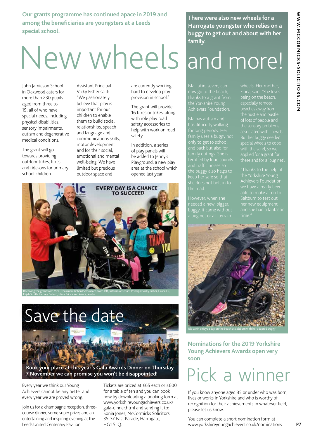WWW.MCCORMICKS-SOLICITORS.COM **WWW.MCCORMICKS-SOLICITORS.COM**

**Our grants programme has continued apace in 2019 and among the beneficiaries are youngsters at a Leeds special school.**

# New wheels and more!

John Jamieson School in Oakwood caters for more than 230 pupils aged from three to 19, all of who have special needs, including physical disabilities, sensory impairments, autism and degenerative medical conditions.

The grant will go towards providing outdoor trikes, bikes and ride-ons for primary school children.

Assistant Principal Vicky Fisher said: "We passionately believe that play is important for our children to enable them to build social relationships, speech and language and communications skills, motor development and for their social, emotional and mental well-being. We have limited but precious outdoor space and

are currently working hard to develop play provision in school."

The grant will provide 16 bikes or trikes, along with role play road safety accessories to help with work on road safety.

In addition, a series of play panels will be added to Jenny's Playground, a new play area at the school which opened last year.



**Book your place at this year's Gala Awards Dinner on Thursday 7 November we can promise you won't be disappointed!** Save the date

Every year we think our Young Achievers cannot be any better and every year we are proved wrong.

Join us for a champagne reception, threecourse dinner, some super prizes and an entertaining and inspiring evening at the Leeds United Centenary Pavilion.

Tickets are priced at £65 each or £600 for a table of ten and you can book now by downloading a booking form at www.yorkshireyoungachievers.co.uk/ gala-dinner.html and sending it to: Sonia Jones, McCormicks Solicitors, 35-37 East Parade, Harrogate, HG1 5LQ.

**There were also new wheels for a Harrogate youngster who relies on a buggy to get out and about with her family.**

Isla has autism and has difficulty walking for long periods. Her family uses a buggy not only to get to school and traffic noises so the buggy also helps to the road.

needed a new, bigger, buggy, it came without being on the beach, beaches away from But her buggy needed applied for a grant for these and for a 'bug net'.

her new equipment



**Nominations for the 2019 Yorkshire Young Achievers Awards open very soon.**

### Pick a winner

If you know anyone aged 35 or under who was born, lives or works in Yorkshire and who is worthy of recognition for their achievements in whatever field, please let us know.

You can complete a short nomination form at www.yorkshireyoungachievers.co.uk/nominations